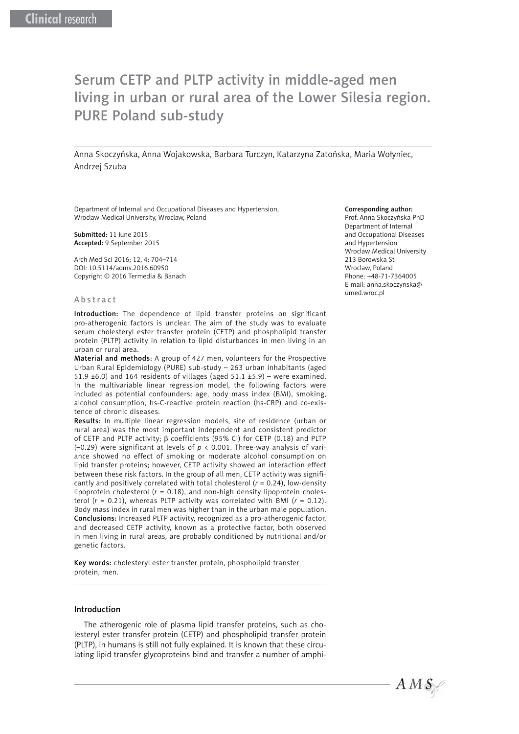# Serum CETP and PLTP activity in middle-aged men living in urban or rural area of the Lower Silesia region. PURE Poland sub-study

Anna Skoczyńska, Anna Wojakowska, Barbara Turczyn, Katarzyna Zatońska, Maria Wołyniec, Andrzej Szuba

Department of Internal and Occupational Diseases and Hypertension, Wroclaw Medical University, Wroclaw, Poland

Submitted: 11 June 2015 Accepted: 9 September 2015

Arch Med Sci 2016; 12, 4: 704–714 DOI: 10.5114/aoms.2016.60950 Copyright © 2016 Termedia & Banach

#### Abstract

Introduction: The dependence of lipid transfer proteins on significant pro-atherogenic factors is unclear. The aim of the study was to evaluate serum cholesteryl ester transfer protein (CETP) and phospholipid transfer protein (PLTP) activity in relation to lipid disturbances in men living in an urban or rural area.

Material and methods: A group of 427 men, volunteers for the Prospective Urban Rural Epidemiology (PURE) sub-study – 263 urban inhabitants (aged 51.9  $\pm$ 6.0) and 164 residents of villages (aged 51.1  $\pm$ 5.9) – were examined. In the multivariable linear regression model, the following factors were included as potential confounders: age, body mass index (BMI), smoking, alcohol consumption, hs-C-reactive protein reaction (hs-CRP) and co-existence of chronic diseases.

Results: In multiple linear regression models, site of residence (urban or rural area) was the most important independent and consistent predictor of CETP and PLTP activity; β coefficients (95% CI) for CETP (0.18) and PLTP (–0.29) were significant at levels of *p* < 0.001. Three-way analysis of variance showed no effect of smoking or moderate alcohol consumption on lipid transfer proteins; however, CETP activity showed an interaction effect between these risk factors. In the group of all men, CETP activity was significantly and positively correlated with total cholesterol (*r* = 0.24), low-density lipoprotein cholesterol (*r* = 0.18), and non-high density lipoprotein cholesterol (*r* = 0.21), whereas PLTP activity was correlated with BMI (*r* = 0.12). Body mass index in rural men was higher than in the urban male population. Conclusions: Increased PLTP activity, recognized as a pro-atherogenic factor, and decreased CETP activity, known as a protective factor, both observed in men living in rural areas, are probably conditioned by nutritional and/or genetic factors.

Key words: cholesteryl ester transfer protein, phospholipid transfer protein, men.

## Introduction

The atherogenic role of plasma lipid transfer proteins, such as cholesteryl ester transfer protein (CETP) and phospholipid transfer protein (PLTP), in humans is still not fully explained. It is known that these circulating lipid transfer glycoproteins bind and transfer a number of amphi-

#### Corresponding author:

Prof. Anna Skoczyńska PhD Department of Internal and Occupational Diseases and Hypertension Wroclaw Medical University 213 Borowska St Wroclaw, Poland Phone: +48-71-7364005 E-mail: anna.skoczynska@ umed.wroc.pl

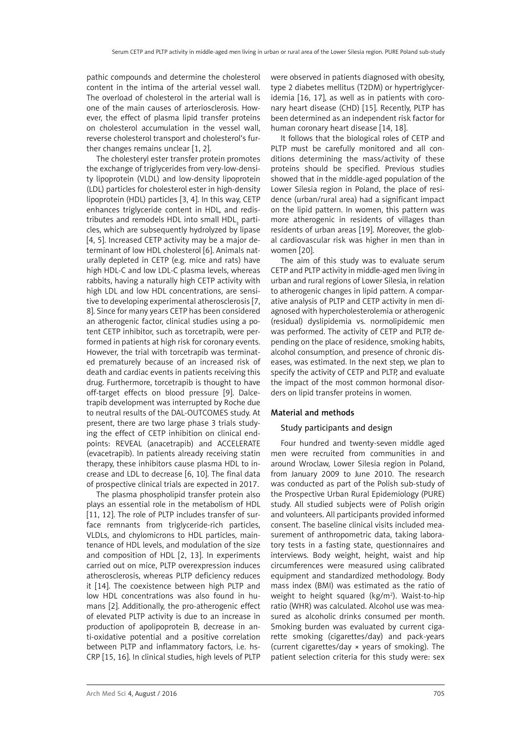pathic compounds and determine the cholesterol content in the intima of the arterial vessel wall. The overload of cholesterol in the arterial wall is one of the main causes of arteriosclerosis. However, the effect of plasma lipid transfer proteins on cholesterol accumulation in the vessel wall, reverse cholesterol transport and cholesterol's further changes remains unclear [1, 2].

The cholesteryl ester transfer protein promotes the exchange of triglycerides from very-low-density lipoprotein (VLDL) and low-density lipoprotein (LDL) particles for cholesterol ester in high-density lipoprotein (HDL) particles [3, 4]. In this way, CETP enhances triglyceride content in HDL, and redistributes and remodels HDL into small  $\mathsf{HDL}_\mathsf{3}$  particles, which are subsequently hydrolyzed by lipase [4, 5]. Increased CETP activity may be a major determinant of low HDL cholesterol [6]. Animals naturally depleted in CETP (e.g. mice and rats) have high HDL-C and low LDL-C plasma levels, whereas rabbits, having a naturally high CETP activity with high LDL and low HDL concentrations, are sensitive to developing experimental atherosclerosis [7, 8]. Since for many years CETP has been considered an atherogenic factor, clinical studies using a potent CETP inhibitor, such as torcetrapib, were performed in patients at high risk for coronary events. However, the trial with torcetrapib was terminated prematurely because of an increased risk of death and cardiac events in patients receiving this drug. Furthermore, torcetrapib is thought to have off-target effects on blood pressure [9]. Dalcetrapib development was interrupted by Roche due to neutral results of the DAL-OUTCOMES study. At present, there are two large phase 3 trials studying the effect of CETP inhibition on clinical endpoints: REVEAL (anacetrapib) and ACCELERATE (evacetrapib). In patients already receiving statin therapy, these inhibitors cause plasma HDL to increase and LDL to decrease [6, 10]. The final data of prospective clinical trials are expected in 2017.

The plasma phospholipid transfer protein also plays an essential role in the metabolism of HDL [11, 12]. The role of PLTP includes transfer of surface remnants from triglyceride-rich particles, VLDLs, and chylomicrons to HDL particles, maintenance of HDL levels, and modulation of the size and composition of HDL [2, 13]. In experiments carried out on mice, PLTP overexpression induces atherosclerosis, whereas PLTP deficiency reduces it [14]. The coexistence between high PLTP and low HDL concentrations was also found in humans [2]. Additionally, the pro-atherogenic effect of elevated PLTP activity is due to an increase in production of apolipoprotein B, decrease in anti-oxidative potential and a positive correlation between PLTP and inflammatory factors, i.e. hs-CRP [15, 16]. In clinical studies, high levels of PLTP were observed in patients diagnosed with obesity, type 2 diabetes mellitus (T2DM) or hypertriglyceridemia [16, 17], as well as in patients with coronary heart disease (CHD) [15]. Recently, PLTP has been determined as an independent risk factor for human coronary heart disease [14, 18].

It follows that the biological roles of CETP and PLTP must be carefully monitored and all conditions determining the mass/activity of these proteins should be specified. Previous studies showed that in the middle-aged population of the Lower Silesia region in Poland, the place of residence (urban/rural area) had a significant impact on the lipid pattern. In women, this pattern was more atherogenic in residents of villages than residents of urban areas [19]. Moreover, the global cardiovascular risk was higher in men than in women [20].

The aim of this study was to evaluate serum CETP and PLTP activity in middle-aged men living in urban and rural regions of Lower Silesia, in relation to atherogenic changes in lipid pattern. A comparative analysis of PLTP and CETP activity in men diagnosed with hypercholesterolemia or atherogenic (residual) dyslipidemia vs. normolipidemic men was performed. The activity of CETP and PLTP, depending on the place of residence, smoking habits, alcohol consumption, and presence of chronic diseases, was estimated. In the next step, we plan to specify the activity of CETP and PLTP, and evaluate the impact of the most common hormonal disorders on lipid transfer proteins in women.

# Material and methods

# Study participants and design

Four hundred and twenty-seven middle aged men were recruited from communities in and around Wroclaw, Lower Silesia region in Poland, from January 2009 to June 2010. The research was conducted as part of the Polish sub-study of the Prospective Urban Rural Epidemiology (PURE) study. All studied subjects were of Polish origin and volunteers. All participants provided informed consent. The baseline clinical visits included measurement of anthropometric data, taking laboratory tests in a fasting state, questionnaires and interviews. Body weight, height, waist and hip circumferences were measured using calibrated equipment and standardized methodology. Body mass index (BMI) was estimated as the ratio of weight to height squared (kg/m<sup>2</sup>). Waist-to-hip ratio (WHR) was calculated. Alcohol use was measured as alcoholic drinks consumed per month. Smoking burden was evaluated by current cigarette smoking (cigarettes/day) and pack-years (current cigarettes/day × years of smoking). The patient selection criteria for this study were: sex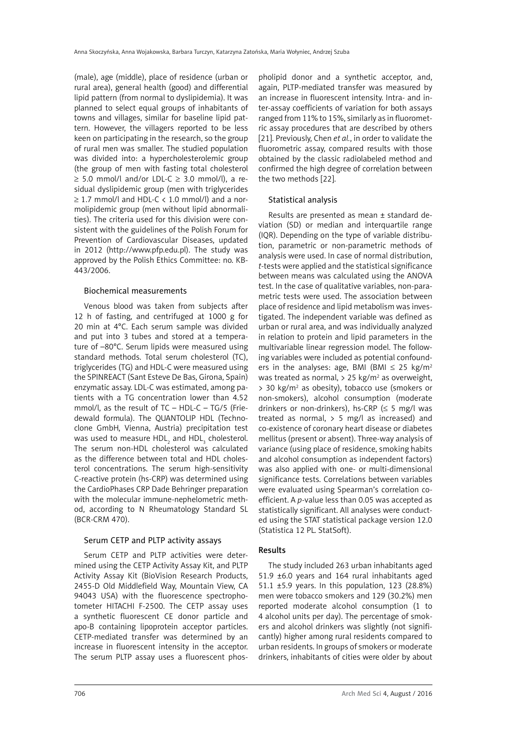(male), age (middle), place of residence (urban or rural area), general health (good) and differential lipid pattern (from normal to dyslipidemia). It was planned to select equal groups of inhabitants of towns and villages, similar for baseline lipid pattern. However, the villagers reported to be less keen on participating in the research, so the group of rural men was smaller. The studied population was divided into: a hypercholesterolemic group (the group of men with fasting total cholesterol  $\geq$  5.0 mmol/l and/or LDL-C  $\geq$  3.0 mmol/l), a residual dyslipidemic group (men with triglycerides  $\geq$  1.7 mmol/l and HDL-C < 1.0 mmol/l) and a normolipidemic group (men without lipid abnormalities). The criteria used for this division were consistent with the guidelines of the Polish Forum for Prevention of Cardiovascular Diseases, updated in 2012 (http://www.pfp.edu.pl). The study was approved by the Polish Ethics Committee: no. KB-443/2006.

## Biochemical measurements

Venous blood was taken from subjects after 12 h of fasting, and centrifuged at 1000 g for 20 min at 4°C. Each serum sample was divided and put into 3 tubes and stored at a temperature of –80°C. Serum lipids were measured using standard methods. Total serum cholesterol (TC), triglycerides (TG) and HDL-C were measured using the SPINREACT (Sant Esteve De Bas, Girona, Spain) enzymatic assay. LDL-C was estimated, among patients with a TG concentration lower than 4.52 mmol/l, as the result of TC – HDL-C – TG/5 (Friedewald formula). The QUANTOLIP HDL (Technoclone GmbH, Vienna, Austria) precipitation test was used to measure  $\mathsf{HDL}_2$  and  $\mathsf{HDL}_3$  cholesterol. The serum non-HDL cholesterol was calculated as the difference between total and HDL cholesterol concentrations. The serum high-sensitivity C-reactive protein (hs-CRP) was determined using the CardioPhases CRP Dade Behringer preparation with the molecular immune-nephelometric method, according to N Rheumatology Standard SL (BCR-CRM 470).

# Serum CETP and PLTP activity assays

Serum CETP and PLTP activities were determined using the CETP Activity Assay Kit, and PLTP Activity Assay Kit (BioVision Research Products, 2455-D Old Middlefield Way, Mountain View, CA 94043 USA) with the fluorescence spectrophotometer HITACHI F-2500. The CETP assay uses a synthetic fluorescent CE donor particle and apo-B containing lipoprotein acceptor particles. CETP-mediated transfer was determined by an increase in fluorescent intensity in the acceptor. The serum PLTP assay uses a fluorescent phos-

pholipid donor and a synthetic acceptor, and, again, PLTP-mediated transfer was measured by an increase in fluorescent intensity. Intra- and inter-assay coefficients of variation for both assays ranged from 11% to 15%, similarly as in fluorometric assay procedures that are described by others [21]. Previously, Chen *et al.*, in order to validate the fluorometric assay, compared results with those obtained by the classic radiolabeled method and confirmed the high degree of correlation between the two methods [22].

# Statistical analysis

Results are presented as mean ± standard deviation (SD) or median and interquartile range (IQR). Depending on the type of variable distribution, parametric or non-parametric methods of analysis were used. In case of normal distribution, *t*-tests were applied and the statistical significance between means was calculated using the ANOVA test. In the case of qualitative variables, non-parametric tests were used. The association between place of residence and lipid metabolism was investigated. The independent variable was defined as urban or rural area, and was individually analyzed in relation to protein and lipid parameters in the multivariable linear regression model. The following variables were included as potential confounders in the analyses: age, BMI (BMI  $\leq$  25 kg/m<sup>2</sup> was treated as normal,  $> 25$  kg/m<sup>2</sup> as overweight, > 30 kg/m2 as obesity), tobacco use (smokers or non-smokers), alcohol consumption (moderate drinkers or non-drinkers), hs-CRP  $( \leq 5 \text{ mg/l} \text{ was}$ treated as normal,  $> 5$  mg/l as increased) and co-existence of coronary heart disease or diabetes mellitus (present or absent). Three-way analysis of variance (using place of residence, smoking habits and alcohol consumption as independent factors) was also applied with one- or multi-dimensional significance tests. Correlations between variables were evaluated using Spearman's correlation coefficient. A *p*-value less than 0.05 was accepted as statistically significant. All analyses were conducted using the STAT statistical package version 12.0 (Statistica 12 PL. StatSoft).

## Results

The study included 263 urban inhabitants aged 51.9 ±6.0 years and 164 rural inhabitants aged 51.1 ±5.9 years. In this population, 123 (28.8%) men were tobacco smokers and 129 (30.2%) men reported moderate alcohol consumption (1 to 4 alcohol units per day). The percentage of smokers and alcohol drinkers was slightly (not significantly) higher among rural residents compared to urban residents. In groups of smokers or moderate drinkers, inhabitants of cities were older by about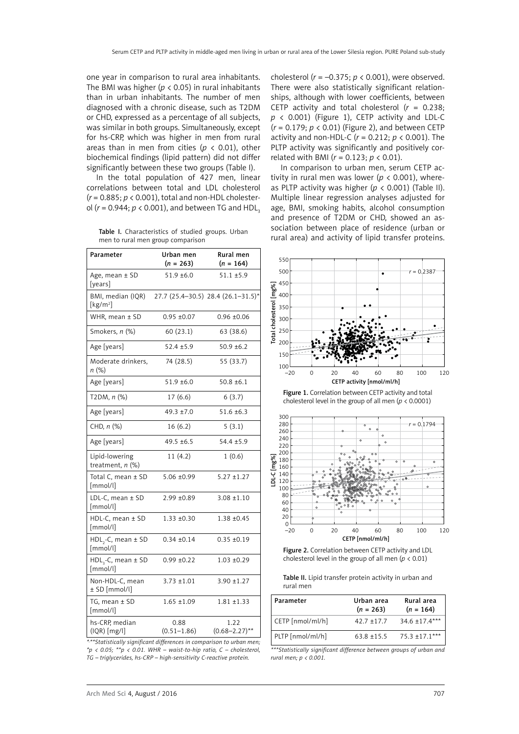one year in comparison to rural area inhabitants. The BMI was higher ( $p < 0.05$ ) in rural inhabitants than in urban inhabitants. The number of men diagnosed with a chronic disease, such as T2DM or CHD, expressed as a percentage of all subjects, was similar in both groups. Simultaneously, except for hs-CRP, which was higher in men from rural areas than in men from cities ( $p < 0.01$ ), other biochemical findings (lipid pattern) did not differ significantly between these two groups (Table I).

In the total population of 427 men, linear correlations between total and LDL cholesterol (*r* = 0.885; *p* < 0.001), total and non-HDL cholesterol  $(r = 0.944; p < 0.001)$ , and between TG and HDL<sub>3</sub>

Table I. Characteristics of studied groups. Urban men to rural men group comparison

Parameter Urban men  $(n = 263)$ Rural men  $(n = 164)$ Age, mean ± SD [years]  $51.9 + 6.0$   $51.1 + 5.9$ BMI, median (IQR) [kg/m2 ] 27.7 (25.4–30.5) 28.4 (26.1–31.5)\* WHR, mean ± SD 0.95 ±0.07 0.96 ±0.06 Smokers, *n* (%) 60 (23.1) 63 (38.6) Age [years] 52.4 ±5.9 50.9 ±6.2 Moderate drinkers, *n* (%) 74 (28.5) 55 (33.7) Age [years] 51.9 ±6.0 50.8 ±6.1 T2DM, *n* (%) 17 (6.6) 6 (3.7) Age [years] 49.3 ±7.0 51.6 ±6.3 CHD, *n* (%) 16 (6.2) 5 (3.1) Age [years] 49.5 ±6.5 54.4 ±5.9 Lipid-lowering treatment, *n* (%) 11 (4.2) 1 (0.6) Total C, mean ± SD [mmol/l] 5.06 ±0.99 5.27 ±1.27 LDL-C, mean ± SD [mmol/l] 2.99 ±0.89 3.08 ±1.10 HDL-C, mean ± SD [mmol/l] 1.33 ±0.30 1.38 ±0.45 HDL<sub>2</sub>-C, mean ± SD [mmol/l]  $0.34 + 0.14$   $0.35 + 0.19$ HDL<sub>3</sub>-C, mean ± SD [mmol/l] 0.99 ±0.22 1.03 ±0.29 Non-HDL-C, mean ± SD [mmol/l] 3.73 ±1.01 3.90 ±1.27 TG, mean ± SD [mmol/l]  $1.65 \pm 1.09$   $1.81 \pm 1.33$ hs-CRP, median (IQR) [mg/l] 0.88  $(0.51 - 1.86)$ 1.22  $(0.68 - 2.27)$ \*\*

*\*, \*\*Statistically significant differences in comparison to urban men; \*p < 0.05; \*\*p < 0.01. WHR – waist-to-hip ratio, C – cholesterol, TG – triglycerides, hs-CRP – high-sensitivity C-reactive protein.*

cholesterol (*r* = –0.375; *p* < 0.001), were observed. There were also statistically significant relationships, although with lower coefficients, between CETP activity and total cholesterol (*r* = 0.238;  $p \le 0.001$ ) (Figure 1), CETP activity and LDL-C (*r* = 0.179; *p* < 0.01) (Figure 2), and between CETP activity and non-HDL-C (*r* = 0.212; *p* < 0.001). The PLTP activity was significantly and positively correlated with BMI (*r* = 0.123; *p* < 0.01).

In comparison to urban men, serum CETP activity in rural men was lower ( $p < 0.001$ ), whereas PLTP activity was higher ( $p < 0.001$ ) (Table II). Multiple linear regression analyses adjusted for age, BMI, smoking habits, alcohol consumption and presence of T2DM or CHD, showed an association between place of residence (urban or rural area) and activity of lipid transfer proteins.



Figure 1. Correlation between CETP activity and total cholesterol level in the group of all men (*p* < 0.0001)



Figure 2. Correlation between CETP activity and LDL cholesterol level in the group of all men ( $p < 0.01$ )

Table II. Lipid transfer protein activity in urban and rural men

| Parameter        | Urban area<br>$(n = 263)$ | Rural area<br>$(n = 164)$ |
|------------------|---------------------------|---------------------------|
| CETP [nmol/ml/h] | $42.7 + 17.7$             | $34.6 + 17.4***$          |
| PLTP [nmol/ml/h] | $63.8 + 15.5$             | $75.3 + 17.1***$          |

*\*\*\*Statistically significant difference between groups of urban and rural men; p < 0.001.*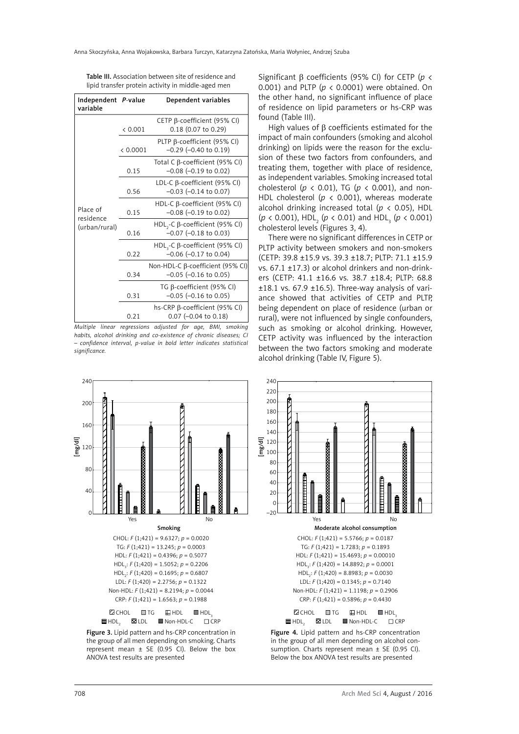Table III. Association between site of residence and lipid transfer protein activity in middle-aged men

| Independent P-value<br>variable        | Dependent variables |                                                                          |  |  |
|----------------------------------------|---------------------|--------------------------------------------------------------------------|--|--|
| Place of<br>residence<br>(urban/rural) | & 0.001             | CETP β-coefficient (95% CI)<br>0.18 (0.07 to 0.29)                       |  |  |
|                                        | & 0.0001            | PLTP B-coefficient (95% CI)<br>$-0.29$ ( $-0.40$ to 0.19)                |  |  |
|                                        | 0.15                | Total C $\beta$ -coefficient (95% CI)<br>$-0.08$ ( $-0.19$ to 0.02)      |  |  |
|                                        | 0.56                | LDL-C $\beta$ -coefficient (95% CI)<br>$-0.03$ ( $-0.14$ to 0.07)        |  |  |
|                                        | 0.15                | HDL-C $\beta$ -coefficient (95% CI)<br>$-0.08$ ( $-0.19$ to 0.02)        |  |  |
|                                        | 0.16                | HDL,-C β-coefficient (95% CI)<br>$-0.07$ ( $-0.18$ to 0.03)              |  |  |
|                                        | 0.22                | HDL <sub>2</sub> -C β-coefficient (95% CI)<br>$-0.06$ ( $-0.17$ to 0.04) |  |  |
|                                        | 0.34                | Non-HDL-C β-coefficient (95% CI)<br>$-0.05$ ( $-0.16$ to 0.05)           |  |  |
|                                        | 0.31                | TG $\beta$ -coefficient (95% CI)<br>$-0.05$ ( $-0.16$ to 0.05)           |  |  |
|                                        | 0.21                | hs-CRP β-coefficient (95% CI)<br>$0.07$ (-0.04 to 0.18)                  |  |  |

*Multiple linear regressions adjusted for age, BMI, smoking habits, alcohol drinking and co-existence of chronic diseases; CI – confidence interval, p-value in bold letter indicates statistical significance.*



Figure 3. Lipid pattern and hs-CRP concentration in the group of all men depending on smoking. Charts represent mean  $\pm$  SE (0.95 CI). Below the box ANOVA test results are presented

Significant β coefficients (95% CI) for CETP (*p* < 0.001) and PLTP (*p* < 0.0001) were obtained. On the other hand, no significant influence of place of residence on lipid parameters or hs-CRP was found (Table III).

High values of β coefficients estimated for the impact of main confounders (smoking and alcohol drinking) on lipids were the reason for the exclusion of these two factors from confounders, and treating them, together with place of residence, as independent variables. Smoking increased total cholesterol ( $p < 0.01$ ), TG ( $p < 0.001$ ), and non-HDL cholesterol (*p* < 0.001), whereas moderate alcohol drinking increased total ( $p < 0.05$ ), HDL  $(p < 0.001)$ , HDL<sub>2</sub>  $(p < 0.01)$  and HDL<sub>3</sub>  $(p < 0.001)$ cholesterol levels (Figures 3, 4).

There were no significant differences in CETP or PLTP activity between smokers and non-smokers (CETP: 39.8 ±15.9 vs. 39.3 ±18.7; PLTP: 71.1 ±15.9 vs. 67.1 ±17.3) or alcohol drinkers and non-drinkers (CETP: 41.1 ±16.6 vs. 38.7 ±18.4; PLTP: 68.8  $±18.1$  vs. 67.9  $±16.5$ ). Three-way analysis of variance showed that activities of CETP and PLTP, being dependent on place of residence (urban or rural), were not influenced by single confounders, such as smoking or alcohol drinking. However, CETP activity was influenced by the interaction between the two factors smoking and moderate alcohol drinking (Table IV, Figure 5).



Figure 4. Lipid pattern and hs-CRP concentration in the group of all men depending on alcohol consumption. Charts represent mean ± SE (0.95 CI). Below the box ANOVA test results are presented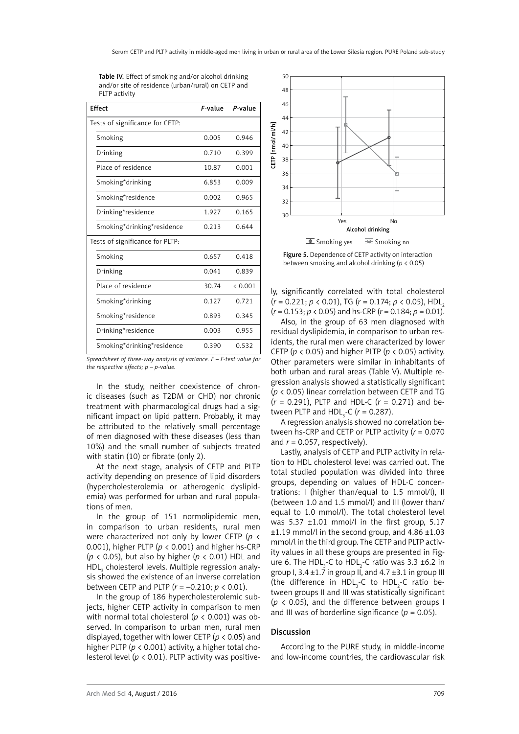Table IV. Effect of smoking and/or alcohol drinking and/or site of residence (urban/rural) on CETP and PLTP activity

| Effect                          | F-value | P-value |
|---------------------------------|---------|---------|
| Tests of significance for CETP: |         |         |
| Smoking                         | 0.005   | 0.946   |
| Drinking                        | 0.710   | 0.399   |
| Place of residence              | 10.87   | 0.001   |
| Smoking*drinking                | 6.853   | 0.009   |
| Smoking*residence               | 0.002   | 0.965   |
| Drinking*residence              | 1.927   | 0.165   |
| Smoking*drinking*residence      | 0.213   | 0.644   |
| Tests of significance for PLTP: |         |         |
| Smoking                         | 0.657   | 0.418   |
| Drinking                        | 0.041   | 0.839   |
| Place of residence              | 30.74   | & 0.001 |
| Smoking*drinking                | 0.127   | 0.721   |
| Smoking*residence               | 0.893   | 0.345   |
| Drinking*residence              | 0.003   | 0.955   |
| Smoking*drinking*residence      | 0.390   | 0.532   |

*Spreadsheet of three-way analysis of variance. F – F-test value for the respective effects; p – p-value.*

In the study, neither coexistence of chronic diseases (such as T2DM or CHD) nor chronic treatment with pharmacological drugs had a significant impact on lipid pattern. Probably, it may be attributed to the relatively small percentage of men diagnosed with these diseases (less than 10%) and the small number of subjects treated with statin (10) or fibrate (only 2).

At the next stage, analysis of CETP and PLTP activity depending on presence of lipid disorders (hypercholesterolemia or atherogenic dyslipidemia) was performed for urban and rural populations of men.

In the group of 151 normolipidemic men, in comparison to urban residents, rural men were characterized not only by lower CETP (*p* < 0.001), higher PLTP (*p* < 0.001) and higher hs-CRP (*p* < 0.05), but also by higher (*p* < 0.01) HDL and HDL<sub>3</sub> cholesterol levels. Multiple regression analysis showed the existence of an inverse correlation between CETP and PLTP (*r* = –0.210; *p* < 0.01).

In the group of 186 hypercholesterolemic subjects, higher CETP activity in comparison to men with normal total cholesterol (*p* < 0.001) was observed. In comparison to urban men, rural men displayed, together with lower CETP (*p* < 0.05) and higher PLTP (*p* < 0.001) activity, a higher total cholesterol level ( $p < 0.01$ ). PLTP activity was positive-



Figure 5. Dependence of CETP activity on interaction between smoking and alcohol drinking (*p* < 0.05)

ly, significantly correlated with total cholesterol  $(r = 0.221; p < 0.01)$ , TG  $(r = 0.174; p < 0.05)$ , HDL  $(r = 0.153; p < 0.05)$  and hs-CRP  $(r = 0.184; p = 0.01)$ .

Also, in the group of 63 men diagnosed with residual dyslipidemia, in comparison to urban residents, the rural men were characterized by lower CETP ( $p < 0.05$ ) and higher PLTP ( $p < 0.05$ ) activity. Other parameters were similar in inhabitants of both urban and rural areas (Table V). Multiple regression analysis showed a statistically significant (*p* < 0.05) linear correlation between CETP and TG (*r* = 0.291), PLTP and HDL-C (*r* = 0.271) and between PLTP and  $HDL<sub>3</sub>-C$  ( $r = 0.287$ ).

A regression analysis showed no correlation between hs-CRP and CETP or PLTP activity (*r* = 0.070 and  $r = 0.057$ , respectively).

Lastly, analysis of CETP and PLTP activity in relation to HDL cholesterol level was carried out. The total studied population was divided into three groups, depending on values of HDL-C concentrations: I (higher than/equal to 1.5 mmol/l), II (between 1.0 and 1.5 mmol/l) and III (lower than/ equal to 1.0 mmol/l). The total cholesterol level was 5.37 ±1.01 mmol/l in the first group, 5.17 ±1.19 mmol/l in the second group, and 4.86 ±1.03 mmol/l in the third group. The CETP and PLTP activity values in all these groups are presented in Figure 6. The  $HDL<sub>3</sub>$ -C to  $HDL<sub>2</sub>$ -C ratio was 3.3 ±6.2 in group I,  $3.4 \pm 1.7$  in group II, and  $4.7 \pm 3.1$  in group III (the difference in HDL<sub>3</sub>-C to HDL<sub>2</sub>-C ratio between groups II and III was statistically significant (*p* < 0.05), and the difference between groups I and III was of borderline significance ( $p = 0.05$ ).

## Discussion

According to the PURE study, in middle-income and low-income countries, the cardiovascular risk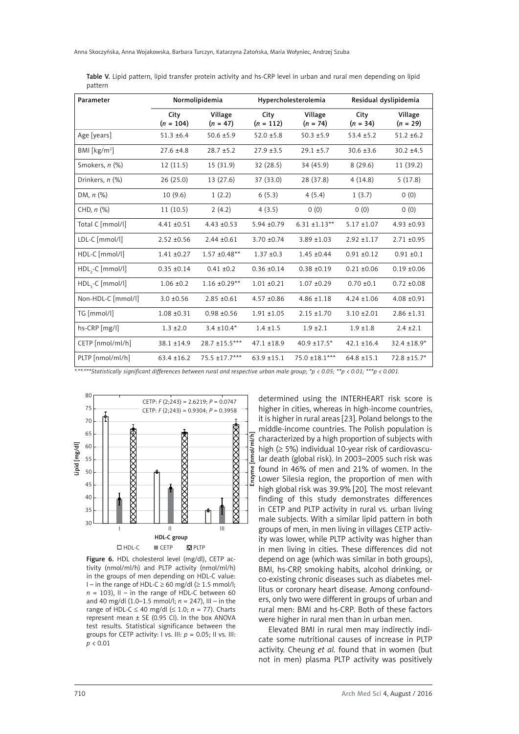| Parameter                    | Normolipidemia      |                       | Hypercholesterolemia |                       | Residual dyslipidemia |                       |
|------------------------------|---------------------|-----------------------|----------------------|-----------------------|-----------------------|-----------------------|
|                              | City<br>$(n = 104)$ | Village<br>$(n = 47)$ | City<br>$(n = 112)$  | Village<br>$(n = 74)$ | City<br>$(n = 34)$    | Village<br>$(n = 29)$ |
| Age [years]                  | $51.3 \pm 6.4$      | $50.6 \pm 5.9$        | $52.0 \pm 5.8$       | $50.3 \pm 5.9$        | $53.4 \pm 5.2$        | $51.2 \pm 6.2$        |
| BMI [ $kg/m2$ ]              | $27.6 \pm 4.8$      | $28.7 + 5.2$          | $27.9 \pm 3.5$       | $29.1 \pm 5.7$        | $30.6 \pm 3.6$        | $30.2 + 4.5$          |
| Smokers, n (%)               | 12(11.5)            | 15 (31.9)             | 32 (28.5)            | 34 (45.9)             | 8(29.6)               | 11 (39.2)             |
| Drinkers, n (%)              | 26 (25.0)           | 13 (27.6)             | 37 (33.0)            | 28 (37.8)             | 4(14.8)               | 5(17.8)               |
| DM, $n$ $(\%)$               | 10(9.6)             | 1(2.2)                | 6(5.3)               | 4(5.4)                | 1(3.7)                | 0(0)                  |
| CHD, $n$ $%$                 | 11(10.5)            | 2(4.2)                | 4(3.5)               | 0(0)                  | 0(0)                  | 0(0)                  |
| Total C [mmol/l]             | $4.41 \pm 0.51$     | $4.43 \pm 0.53$       | $5.94 \pm 0.79$      | $6.31 \pm 1.13**$     | $5.17 \pm 1.07$       | $4.93 + 0.93$         |
| LDL-C [mmol/l]               | $2.52 + 0.56$       | $2.44 \pm 0.61$       | $3.70 \pm 0.74$      | $3.89 \pm 1.03$       | $2.92 \pm 1.17$       | $2.71 \pm 0.95$       |
| HDL-C [mmol/l]               | $1.41 \pm 0.27$     | $1.57 + 0.48**$       | $1.37 + 0.3$         | $1.45 \pm 0.44$       | $0.91 \pm 0.12$       | $0.91 \pm 0.1$        |
| HDL <sub>2</sub> -C [mmol/l] | $0.35 \pm 0.14$     | $0.41 \pm 0.2$        | $0.36 \pm 0.14$      | $0.38 \pm 0.19$       | $0.21 \pm 0.06$       | $0.19 \pm 0.06$       |
| HDL <sub>3</sub> -C [mmol/l] | $1.06 \pm 0.2$      | $1.16 \pm 0.29**$     | $1.01 \pm 0.21$      | $1.07 + 0.29$         | $0.70 \pm 0.1$        | $0.72 \pm 0.08$       |
| Non-HDL-C [mmol/l]           | $3.0 \pm 0.56$      | $2.85 \pm 0.61$       | $4.57 + 0.86$        | $4.86 \pm 1.18$       | $4.24 \pm 1.06$       | $4.08 \pm 0.91$       |
| TG [mmol/l]                  | $1.08 \pm 0.31$     | $0.98 + 0.56$         | $1.91 \pm 1.05$      | $2.15 \pm 1.70$       | $3.10 \pm 2.01$       | $2.86 \pm 1.31$       |
| hs-CRP [mg/l]                | $1.3 \pm 2.0$       | $3.4 \pm 10.4*$       | $1.4 \pm 1.5$        | $1.9 \pm 2.1$         | $1.9 \pm 1.8$         | $2.4 \pm 2.1$         |
| CETP [nmol/ml/h]             | $38.1 \pm 14.9$     | 28.7 ±15.5***         | $47.1 \pm 18.9$      | $40.9 \pm 17.5^*$     | $42.1 \pm 16.4$       | 32.4 ±18.9*           |
| PLTP [nmol/ml/h]             | $63.4 \pm 16.2$     | 75.5 ±17.7***         | $63.9 \pm 15.1$      | 75.0 ±18.1***         | $64.8 \pm 15.1$       | 72.8 ±15.7*           |

Table V. Lipid pattern, lipid transfer protein activity and hs-CRP level in urban and rural men depending on lipid pattern

*\*, \*\*, \*\*\*Statistically significant differences between rural and respective urban male group; \*p < 0.05; \*\*p < 0.01; \*\*\*p < 0.001.*



Figure 6. HDL cholesterol level (mg/dl), CETP activity (nmol/ml/h) and PLTP activity (nmol/ml/h) in the groups of men depending on HDL-C value: I – in the range of HDL-C ≥ 60 mg/dl (≥ 1.5 mmol/l;  $n = 103$ ), II – in the range of HDL-C between 60 and 40 mg/dl (1.0–1.5 mmol/l; *n* = 247), III – in the range of HDL-C ≤ 40 mg/dl (≤ 1.0; *n* = 77). Charts represent mean ± SE (0.95 CI). In the box ANOVA test results. Statistical significance between the groups for CETP activity: I vs. III: *p* = 0.05; II vs. III: *p* < 0.01

determined using the INTERHEART risk score is higher in cities, whereas in high-income countries, it is higher in rural areas [23]. Poland belongs to the middle-income countries. The Polish population is characterized by a high proportion of subjects with high (≥ 5%) individual 10-year risk of cardiovascular death (global risk). In 2003–2005 such risk was found in 46% of men and 21% of women. In the Lower Silesia region, the proportion of men with high global risk was 39.9% [20]. The most relevant finding of this study demonstrates differences in CETP and PLTP activity in rural vs. urban living male subjects. With a similar lipid pattern in both groups of men, in men living in villages CETP activity was lower, while PLTP activity was higher than in men living in cities. These differences did not depend on age (which was similar in both groups), BMI, hs-CRP, smoking habits, alcohol drinking, or co-existing chronic diseases such as diabetes mellitus or coronary heart disease. Among confounders, only two were different in groups of urban and rural men: BMI and hs-CRP. Both of these factors were higher in rural men than in urban men.

Elevated BMI in rural men may indirectly indicate some nutritional causes of increase in PLTP activity. Cheung *et al.* found that in women (but not in men) plasma PLTP activity was positively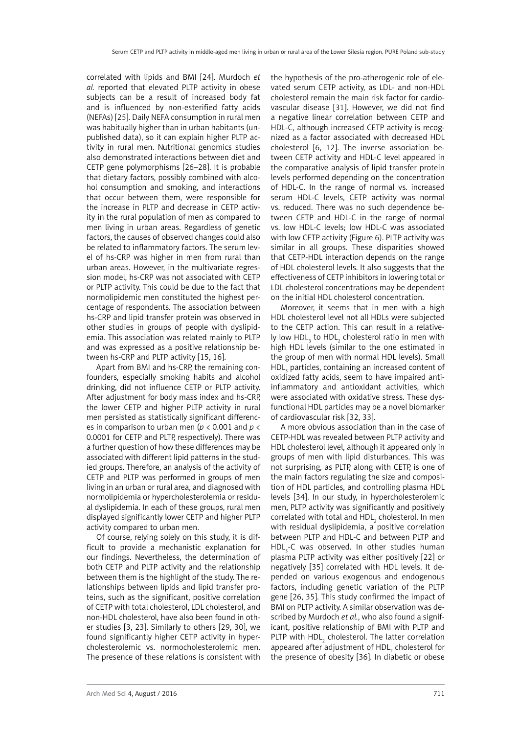correlated with lipids and BMI [24]. Murdoch *et al.* reported that elevated PLTP activity in obese subjects can be a result of increased body fat and is influenced by non-esterified fatty acids (NEFAs) [25]. Daily NEFA consumption in rural men was habitually higher than in urban habitants (unpublished data), so it can explain higher PLTP activity in rural men. Nutritional genomics studies also demonstrated interactions between diet and CETP gene polymorphisms [26–28]. It is probable that dietary factors, possibly combined with alcohol consumption and smoking, and interactions that occur between them, were responsible for the increase in PLTP and decrease in CETP activity in the rural population of men as compared to men living in urban areas. Regardless of genetic factors, the causes of observed changes could also be related to inflammatory factors. The serum level of hs-CRP was higher in men from rural than urban areas. However, in the multivariate regression model, hs-CRP was not associated with CETP or PLTP activity. This could be due to the fact that normolipidemic men constituted the highest percentage of respondents. The association between hs-CRP and lipid transfer protein was observed in other studies in groups of people with dyslipidemia. This association was related mainly to PLTP and was expressed as a positive relationship between hs-CRP and PLTP activity [15, 16].

Apart from BMI and hs-CRP, the remaining confounders, especially smoking habits and alcohol drinking, did not influence CETP or PLTP activity. After adjustment for body mass index and hs-CRP, the lower CETP and higher PLTP activity in rural men persisted as statistically significant differences in comparison to urban men (*p* < 0.001 and *p* < 0.0001 for CETP and PLTP, respectively). There was a further question of how these differences may be associated with different lipid patterns in the studied groups. Therefore, an analysis of the activity of CETP and PLTP was performed in groups of men living in an urban or rural area, and diagnosed with normolipidemia or hypercholesterolemia or residual dyslipidemia. In each of these groups, rural men displayed significantly lower CETP and higher PLTP activity compared to urban men.

Of course, relying solely on this study, it is difficult to provide a mechanistic explanation for our findings. Nevertheless, the determination of both CETP and PLTP activity and the relationship between them is the highlight of the study. The relationships between lipids and lipid transfer proteins, such as the significant, positive correlation of CETP with total cholesterol, LDL cholesterol, and non-HDL cholesterol, have also been found in other studies [3, 23]. Similarly to others [29, 30], we found significantly higher CETP activity in hypercholesterolemic vs. normocholesterolemic men. The presence of these relations is consistent with the hypothesis of the pro-atherogenic role of elevated serum CETP activity, as LDL- and non-HDL cholesterol remain the main risk factor for cardiovascular disease [31]. However, we did not find a negative linear correlation between CETP and HDL-C, although increased CETP activity is recognized as a factor associated with decreased HDL cholesterol [6, 12]. The inverse association between CETP activity and HDL-C level appeared in the comparative analysis of lipid transfer protein levels performed depending on the concentration of HDL-C. In the range of normal vs. increased serum HDL-C levels, CETP activity was normal vs. reduced. There was no such dependence between CETP and HDL-C in the range of normal vs. low HDL-C levels; low HDL-C was associated with low CETP activity (Figure 6). PLTP activity was similar in all groups. These disparities showed that CETP-HDL interaction depends on the range of HDL cholesterol levels. It also suggests that the effectiveness of CETP inhibitors in lowering total or LDL cholesterol concentrations may be dependent on the initial HDL cholesterol concentration.

Moreover, it seems that in men with a high HDL cholesterol level not all HDLs were subjected to the CETP action. This can result in a relatively low  $HDL<sub>3</sub>$  to  $HDL<sub>2</sub>$  cholesterol ratio in men with high HDL levels (similar to the one estimated in the group of men with normal HDL levels). Small  $HDL<sub>3</sub>$  particles, containing an increased content of oxidized fatty acids, seem to have impaired antiinflammatory and antioxidant activities, which were associated with oxidative stress. These dysfunctional HDL particles may be a novel biomarker of cardiovascular risk [32, 33].

A more obvious association than in the case of CETP-HDL was revealed between PLTP activity and HDL cholesterol level, although it appeared only in groups of men with lipid disturbances. This was not surprising, as PLTP, along with CETP, is one of the main factors regulating the size and composition of HDL particles, and controlling plasma HDL levels [34]. In our study, in hypercholesterolemic men, PLTP activity was significantly and positively correlated with total and  $HDL<sub>2</sub>$  cholesterol. In men with residual dyslipidemia, a positive correlation between PLTP and HDL-C and between PLTP and HDL<sub>3</sub>-C was observed. In other studies human plasma PLTP activity was either positively [22] or negatively [35] correlated with HDL levels. It depended on various exogenous and endogenous factors, including genetic variation of the PLTP gene [26, 35]. This study confirmed the impact of BMI on PLTP activity. A similar observation was described by Murdoch *et al.*, who also found a significant, positive relationship of BMI with PLTP and PLTP with  $HDL<sub>2</sub>$  cholesterol. The latter correlation appeared after adjustment of  $\mathsf{HDL}_2$  cholesterol for the presence of obesity [36]. In diabetic or obese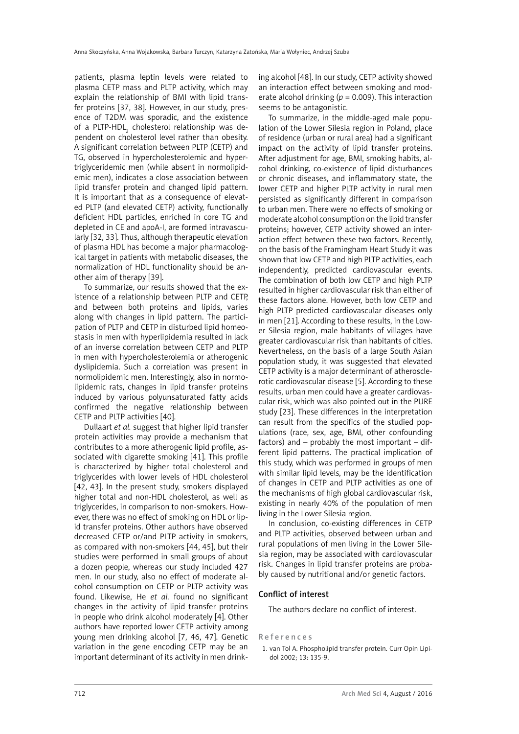patients, plasma leptin levels were related to plasma CETP mass and PLTP activity, which may explain the relationship of BMI with lipid transfer proteins [37, 38]. However, in our study, presence of T2DM was sporadic, and the existence of a PLTP-HDL<sub>2</sub> cholesterol relationship was dependent on cholesterol level rather than obesity. A significant correlation between PLTP (CETP) and TG, observed in hypercholesterolemic and hypertriglyceridemic men (while absent in normolipidemic men), indicates a close association between lipid transfer protein and changed lipid pattern. It is important that as a consequence of elevated PLTP (and elevated CETP) activity, functionally deficient HDL particles, enriched in core TG and depleted in CE and apoA-I, are formed intravascularly [32, 33]. Thus, although therapeutic elevation of plasma HDL has become a major pharmacological target in patients with metabolic diseases, the normalization of HDL functionality should be another aim of therapy [39].

To summarize, our results showed that the existence of a relationship between PLTP and CETP, and between both proteins and lipids, varies along with changes in lipid pattern. The participation of PLTP and CETP in disturbed lipid homeostasis in men with hyperlipidemia resulted in lack of an inverse correlation between CETP and PLTP in men with hypercholesterolemia or atherogenic dyslipidemia. Such a correlation was present in normolipidemic men. Interestingly, also in normolipidemic rats, changes in lipid transfer proteins induced by various polyunsaturated fatty acids confirmed the negative relationship between CETP and PLTP activities [40].

Dullaart *et al.* suggest that higher lipid transfer protein activities may provide a mechanism that contributes to a more atherogenic lipid profile, associated with cigarette smoking [41]. This profile is characterized by higher total cholesterol and triglycerides with lower levels of HDL cholesterol [42, 43]. In the present study, smokers displayed higher total and non-HDL cholesterol, as well as triglycerides, in comparison to non-smokers. However, there was no effect of smoking on HDL or lipid transfer proteins. Other authors have observed decreased CETP or/and PLTP activity in smokers, as compared with non-smokers [44, 45], but their studies were performed in small groups of about a dozen people, whereas our study included 427 men. In our study, also no effect of moderate alcohol consumption on CETP or PLTP activity was found. Likewise, He *et al.* found no significant changes in the activity of lipid transfer proteins in people who drink alcohol moderately [4]. Other authors have reported lower CETP activity among young men drinking alcohol [7, 46, 47]. Genetic variation in the gene encoding CETP may be an important determinant of its activity in men drinking alcohol [48]. In our study, CETP activity showed an interaction effect between smoking and moderate alcohol drinking ( $p = 0.009$ ). This interaction seems to be antagonistic.

To summarize, in the middle-aged male population of the Lower Silesia region in Poland, place of residence (urban or rural area) had a significant impact on the activity of lipid transfer proteins. After adjustment for age, BMI, smoking habits, alcohol drinking, co-existence of lipid disturbances or chronic diseases, and inflammatory state, the lower CETP and higher PLTP activity in rural men persisted as significantly different in comparison to urban men. There were no effects of smoking or moderate alcohol consumption on the lipid transfer proteins; however, CETP activity showed an interaction effect between these two factors. Recently, on the basis of the Framingham Heart Study it was shown that low CETP and high PLTP activities, each independently, predicted cardiovascular events. The combination of both low CETP and high PLTP resulted in higher cardiovascular risk than either of these factors alone. However, both low CETP and high PLTP predicted cardiovascular diseases only in men [21]. According to these results, in the Lower Silesia region, male habitants of villages have greater cardiovascular risk than habitants of cities. Nevertheless, on the basis of a large South Asian population study, it was suggested that elevated CETP activity is a major determinant of atherosclerotic cardiovascular disease [5]. According to these results, urban men could have a greater cardiovascular risk, which was also pointed out in the PURE study [23]. These differences in the interpretation can result from the specifics of the studied populations (race, sex, age, BMI, other confounding factors) and  $-$  probably the most important  $-$  different lipid patterns. The practical implication of this study, which was performed in groups of men with similar lipid levels, may be the identification of changes in CETP and PLTP activities as one of the mechanisms of high global cardiovascular risk, existing in nearly 40% of the population of men living in the Lower Silesia region.

In conclusion, co-existing differences in CETP and PLTP activities, observed between urban and rural populations of men living in the Lower Silesia region, may be associated with cardiovascular risk. Changes in lipid transfer proteins are probably caused by nutritional and/or genetic factors.

## Conflict of interest

The authors declare no conflict of interest.

# References

1. van Tol A. Phospholipid transfer protein. Curr Opin Lipidol 2002; 13: 135-9.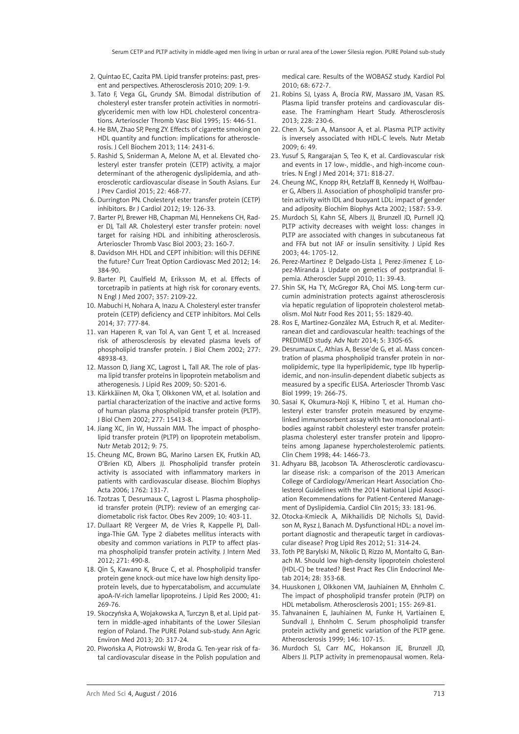- 2. Quintao EC, Cazita PM. Lipid transfer proteins: past, present and perspectives. Atherosclerosis 2010; 209: 1-9.
- 3. Tato F, Vega GL, Grundy SM. Bimodal distribution of cholesteryl ester transfer protein activities in normotriglyceridemic men with low HDL cholesterol concentrations. Arterioscler Thromb Vasc Biol 1995; 15: 446-51.
- 4. He BM, Zhao SP, Peng ZY. Effects of cigarette smoking on HDL quantity and function: implications for atherosclerosis. J Cell Biochem 2013; 114: 2431-6.
- 5. Rashid S, Sniderman A, Melone M, et al. Elevated cholesteryl ester transfer protein (CETP) activity, a major determinant of the atherogenic dyslipidemia, and atherosclerotic cardiovascular disease in South Asians. Eur J Prev Cardiol 2015; 22: 468-77.
- 6. Durrington PN. Cholesteryl ester transfer protein (CETP) inhibitors. Br J Cardiol 2012; 19: 126-33.
- 7. Barter PJ, Brewer HB, Chapman MJ, Hennekens CH, Rader DJ, Tall AR. Cholesteryl ester transfer protein: novel target for raising HDL and inhibiting atherosclerosis. Arterioscler Thromb Vasc Biol 2003; 23: 160-7.
- 8. Davidson MH. HDL and CEPT inhibition: will this DEFINE the future? Curr Treat Option Cardiovasc Med 2012; 14: 384-90.
- 9. Barter PJ, Caulfield M, Eriksson M, et al. Effects of torcetrapib in patients at high risk for coronary events. N Engl J Med 2007; 357: 2109-22.
- 10. Mabuchi H, Nohara A, Inazu A. Cholesteryl ester transfer protein (CETP) deficiency and CETP inhibitors. Mol Cells 2014; 37: 777-84.
- 11. van Haperen R, van Tol A, van Gent T, et al. Increased risk of atherosclerosis by elevated plasma levels of phospholipid transfer protein. J Biol Chem 2002; 277: 48938-43.
- 12. Masson D, Jiang XC, Lagrost L, Tall AR. The role of plasma lipid transfer proteins in lipoprotein metabolism and atherogenesis. J Lipid Res 2009; 50: S201-6.
- 13. Kärkkäinen M, Oka T, Olkkonen VM, et al. Isolation and partial characterization of the inactive and active forms of human plasma phospholipid transfer protein (PLTP). J Biol Chem 2002; 277: 15413-8.
- 14. Jiang XC, Jin W, Hussain MM. The impact of phospholipid transfer protein (PLTP) on lipoprotein metabolism. Nutr Metab 2012; 9: 75.
- 15. Cheung MC, Brown BG, Marino Larsen EK, Frutkin AD, O'Brien KD, Albers JJ. Phospholipid transfer protein activity is associated with inflammatory markers in patients with cardiovascular disease. Biochim Biophys Acta 2006; 1762: 131-7.
- 16. Tzotzas T, Desrumaux C, Lagrost L. Plasma phospholipid transfer protein (PLTP): review of an emerging cardiometabolic risk factor. Obes Rev 2009; 10: 403-11.
- 17. Dullaart RP, Vergeer M, de Vries R, Kappelle PJ, Dallinga-Thie GM. Type 2 diabetes mellitus interacts with obesity and common variations in PLTP to affect plasma phospholipid transfer protein activity. J Intern Med 2012; 271: 490-8.
- 18. Qin S, Kawano K, Bruce C, et al. Phospholipid transfer protein gene knock-out mice have low high density lipoprotein levels, due to hypercatabolism, and accumulate apoA-IV-rich lamellar lipoproteins. J Lipid Res 2000; 41: 269-76.
- 19. Skoczyńska A, Wojakowska A, Turczyn B, et al. Lipid pattern in middle-aged inhabitants of the Lower Silesian region of Poland. The PURE Poland sub-study. Ann Agric Environ Med 2013; 20: 317-24.
- 20. Piwońska A, Piotrowski W, Broda G. Ten-year risk of fatal cardiovascular disease in the Polish population and

medical care. Results of the WOBASZ study. Kardiol Pol 2010; 68: 672-7.

- 21. Robins SJ, Lyass A, Brocia RW, Massaro JM, Vasan RS. Plasma lipid transfer proteins and cardiovascular disease. The Framingham Heart Study. Atherosclerosis 2013; 228: 230-6.
- 22. Chen X, Sun A, Mansoor A, et al. Plasma PLTP activity is inversely associated with HDL-C levels. Nutr Metab 2009; 6: 49.
- 23. Yusuf S, Rangarajan S, Teo K, et al. Cardiovascular risk and events in 17 low-, middle-, and high-income countries. N Engl J Med 2014; 371: 818-27.
- 24. Cheung MC, Knopp RH, Retzlaff B, Kennedy H, Wolfbauer G, Albers JJ. Association of phospholipid transfer protein activity with IDL and buoyant LDL: impact of gender and adiposity. Biochim Biophys Acta 2002; 1587: 53-9.
- 25. Murdoch SJ, Kahn SE, Albers JJ, Brunzell JD, Purnell JQ. PLTP activity decreases with weight loss: changes in PLTP are associated with changes in subcutaneous fat and FFA but not IAF or insulin sensitivity. J Lipid Res 2003; 44: 1705-12.
- 26. Perez-Martinez P, Delgado-Lista J, Perez-Jimenez F, Lopez-Miranda J. Update on genetics of postprandial lipemia. Atheroscler Suppl 2010; 11: 39-43.
- 27. Shin SK, Ha TY, McGregor RA, Choi MS. Long-term curcumin administration protects against atherosclerosis via hepatic regulation of lipoprotein cholesterol metabolism. Mol Nutr Food Res 2011; 55: 1829-40.
- 28. Ros E, Martínez-González MA, Estruch R, et al. Mediterranean diet and cardiovascular health: teachings of the PREDIMED study. Adv Nutr 2014; 5: 330S-6S.
- 29. Desrumaux C, Athias A, Besse'de G, et al. Mass concentration of plasma phospholipid transfer protein in normolipidemic, type IIa hyperlipidemic, type IIb hyperlipidemic, and non-insulin-dependent diabetic subjects as measured by a specific ELISA. Arterioscler Thromb Vasc Biol 1999; 19: 266-75.
- 30. Sasai K, Okumura-Noji K, Hibino T, et al. Human cholesteryl ester transfer protein measured by enzymelinked immunosorbent assay with two monoclonal antibodies against rabbit cholesteryl ester transfer protein: plasma cholesteryl ester transfer protein and lipoproteins among Japanese hypercholesterolemic patients. Clin Chem 1998; 44: 1466-73.
- 31. Adhyaru BB, Jacobson TA. Atherosclerotic cardiovascular disease risk: a comparison of the 2013 American College of Cardiology/American Heart Association Cholesterol Guidelines with the 2014 National Lipid Association Recommendations for Patient-Centered Management of Dyslipidemia. Cardiol Clin 2015; 33: 181-96.
- 32. Otocka-Kmiecik A, Mikhailidis DP, Nicholls SJ, Davidson M, Rysz J, Banach M. Dysfunctional HDL: a novel important diagnostic and therapeutic target in cardiovascular disease? Prog Lipid Res 2012; 51: 314-24.
- 33. Toth PP, Barylski M, Nikolic D, Rizzo M, Montalto G, Banach M. Should low high-density lipoprotein cholesterol (HDL-C) be treated? Best Pract Res Clin Endocrinol Metab 2014; 28: 353-68.
- 34. Huuskonen J, Olkkonen VM, Jauhiainen M, Ehnholm C. The impact of phospholipid transfer protein (PLTP) on HDL metabolism. Atherosclerosis 2001; 155: 269-81.
- 35. Tahvanainen E, Jauhiainen M, Funke H, Vartiainen E, Sundvall J, Ehnholm C. Serum phospholipid transfer protein activity and genetic variation of the PLTP gene. Atherosclerosis 1999; 146: 107-15.
- 36. Murdoch SJ, Carr MC, Hokanson JE, Brunzell JD, Albers JJ. PLTP activity in premenopausal women. Rela-